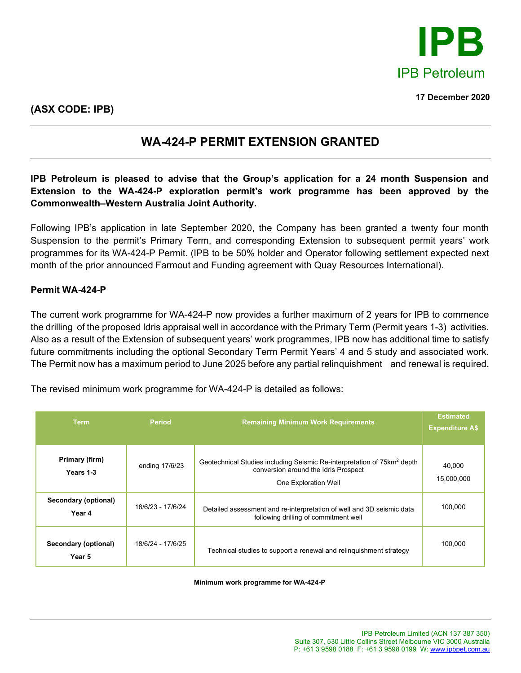

**17 December 2020**

## **WA-424-P PERMIT EXTENSION GRANTED**

**IPB Petroleum is pleased to advise that the Group's application for a 24 month Suspension and Extension to the WA-424-P exploration permit's work programme has been approved by the Commonwealth–Western Australia Joint Authority.**

Following IPB's application in late September 2020, the Company has been granted a twenty four month Suspension to the permit's Primary Term, and corresponding Extension to subsequent permit years' work programmes for its WA-424-P Permit. (IPB to be 50% holder and Operator following settlement expected next month of the prior announced Farmout and Funding agreement with Quay Resources International).

## **Permit WA-424-P**

The current work programme for WA-424-P now provides a further maximum of 2 years for IPB to commence the drilling of the proposed Idris appraisal well in accordance with the Primary Term (Permit years 1-3) activities. Also as a result of the Extension of subsequent years' work programmes, IPB now has additional time to satisfy future commitments including the optional Secondary Term Permit Years' 4 and 5 study and associated work. The Permit now has a maximum period to June 2025 before any partial relinquishment and renewal is required.

The revised minimum work programme for WA-424-P is detailed as follows:

| <b>Term</b>                    | <b>Period</b>     | <b>Remaining Minimum Work Requirements</b>                                                                                                          | <b>Estimated</b><br><b>Expenditure A\$</b> |
|--------------------------------|-------------------|-----------------------------------------------------------------------------------------------------------------------------------------------------|--------------------------------------------|
| Primary (firm)<br>Years 1-3    | ending 17/6/23    | Geotechnical Studies including Seismic Re-interpretation of 75km <sup>2</sup> depth<br>conversion around the Idris Prospect<br>One Exploration Well | 40,000<br>15,000,000                       |
| Secondary (optional)<br>Year 4 | 18/6/23 - 17/6/24 | Detailed assessment and re-interpretation of well and 3D seismic data<br>following drilling of commitment well                                      | 100,000                                    |
| Secondary (optional)<br>Year 5 | 18/6/24 - 17/6/25 | Technical studies to support a renewal and relinguishment strategy                                                                                  | 100,000                                    |

**Minimum work programme for WA-424-P**